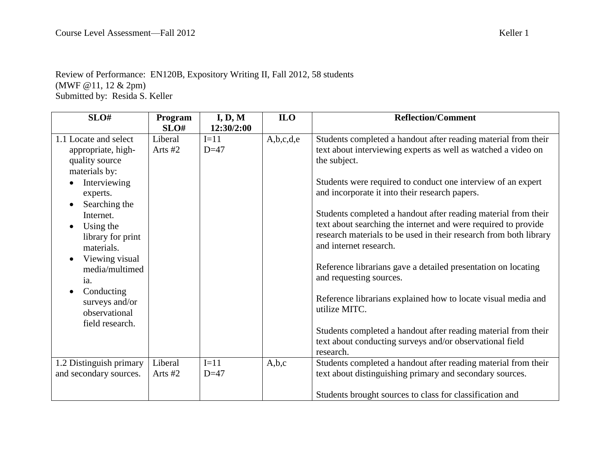## Review of Performance: EN120B, Expository Writing II, Fall 2012, 58 students (MWF @11, 12 & 2pm) Submitted by: Resida S. Keller

| SLO#                    | Program   | I, D, M    | <b>ILO</b> | <b>Reflection/Comment</b>                                         |
|-------------------------|-----------|------------|------------|-------------------------------------------------------------------|
|                         | SLO#      | 12:30/2:00 |            |                                                                   |
| 1.1 Locate and select   | Liberal   | $I=11$     | A,b,c,d,e  | Students completed a handout after reading material from their    |
| appropriate, high-      | Arts $#2$ | $D=47$     |            | text about interviewing experts as well as watched a video on     |
| quality source          |           |            |            | the subject.                                                      |
| materials by:           |           |            |            |                                                                   |
| Interviewing            |           |            |            | Students were required to conduct one interview of an expert      |
| experts.                |           |            |            | and incorporate it into their research papers.                    |
| Searching the           |           |            |            |                                                                   |
| Internet.               |           |            |            | Students completed a handout after reading material from their    |
| Using the               |           |            |            | text about searching the internet and were required to provide    |
| library for print       |           |            |            | research materials to be used in their research from both library |
| materials.              |           |            |            | and internet research.                                            |
| Viewing visual          |           |            |            |                                                                   |
| media/multimed          |           |            |            | Reference librarians gave a detailed presentation on locating     |
| ia.                     |           |            |            | and requesting sources.                                           |
| Conducting<br>$\bullet$ |           |            |            |                                                                   |
| surveys and/or          |           |            |            | Reference librarians explained how to locate visual media and     |
| observational           |           |            |            | utilize MITC.                                                     |
| field research.         |           |            |            |                                                                   |
|                         |           |            |            | Students completed a handout after reading material from their    |
|                         |           |            |            | text about conducting surveys and/or observational field          |
|                         |           |            |            | research.                                                         |
| 1.2 Distinguish primary | Liberal   | $I=11$     | A,b,c      | Students completed a handout after reading material from their    |
| and secondary sources.  | Arts #2   | $D=47$     |            | text about distinguishing primary and secondary sources.          |
|                         |           |            |            |                                                                   |
|                         |           |            |            | Students brought sources to class for classification and          |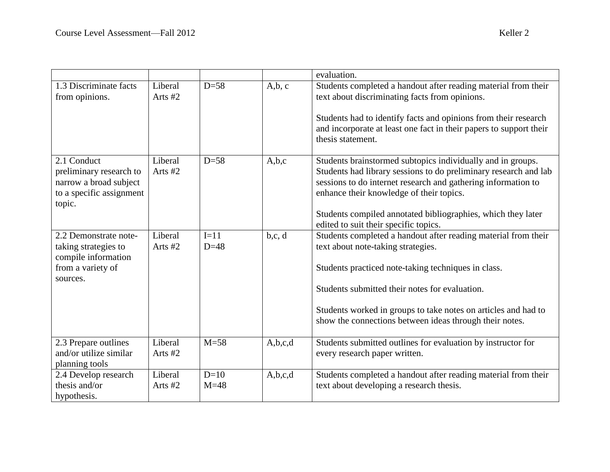|                                                                                                        |                      |                  |         | evaluation.                                                                                                                                                                                                                                                                                                                                           |
|--------------------------------------------------------------------------------------------------------|----------------------|------------------|---------|-------------------------------------------------------------------------------------------------------------------------------------------------------------------------------------------------------------------------------------------------------------------------------------------------------------------------------------------------------|
| 1.3 Discriminate facts<br>from opinions.                                                               | Liberal<br>Arts $#2$ | $D=58$           | A,b,c   | Students completed a handout after reading material from their<br>text about discriminating facts from opinions.<br>Students had to identify facts and opinions from their research<br>and incorporate at least one fact in their papers to support their<br>thesis statement.                                                                        |
| 2.1 Conduct<br>preliminary research to<br>narrow a broad subject<br>to a specific assignment<br>topic. | Liberal<br>Arts #2   | $D=58$           | A,b,c   | Students brainstormed subtopics individually and in groups.<br>Students had library sessions to do preliminary research and lab<br>sessions to do internet research and gathering information to<br>enhance their knowledge of their topics.<br>Students compiled annotated bibliographies, which they later<br>edited to suit their specific topics. |
| 2.2 Demonstrate note-<br>taking strategies to<br>compile information<br>from a variety of<br>sources.  | Liberal<br>Arts #2   | $I=11$<br>$D=48$ | b,c,d   | Students completed a handout after reading material from their<br>text about note-taking strategies.<br>Students practiced note-taking techniques in class.<br>Students submitted their notes for evaluation.<br>Students worked in groups to take notes on articles and had to<br>show the connections between ideas through their notes.            |
| 2.3 Prepare outlines<br>and/or utilize similar<br>planning tools                                       | Liberal<br>Arts #2   | $M = 58$         | A,b,c,d | Students submitted outlines for evaluation by instructor for<br>every research paper written.                                                                                                                                                                                                                                                         |
| 2.4 Develop research<br>thesis and/or<br>hypothesis.                                                   | Liberal<br>Arts #2   | $D=10$<br>$M=48$ | A,b,c,d | Students completed a handout after reading material from their<br>text about developing a research thesis.                                                                                                                                                                                                                                            |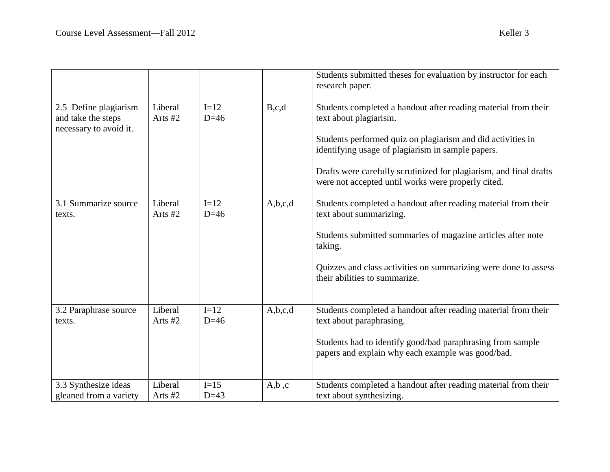|                                                                       |                      |                  |         | Students submitted theses for evaluation by instructor for each<br>research paper.                                                                                                                                                                                                                                                       |
|-----------------------------------------------------------------------|----------------------|------------------|---------|------------------------------------------------------------------------------------------------------------------------------------------------------------------------------------------------------------------------------------------------------------------------------------------------------------------------------------------|
| 2.5 Define plagiarism<br>and take the steps<br>necessary to avoid it. | Liberal<br>Arts #2   | $I=12$<br>$D=46$ | B,c,d   | Students completed a handout after reading material from their<br>text about plagiarism.<br>Students performed quiz on plagiarism and did activities in<br>identifying usage of plagiarism in sample papers.<br>Drafts were carefully scrutinized for plagiarism, and final drafts<br>were not accepted until works were properly cited. |
| 3.1 Summarize source<br>texts.                                        | Liberal<br>Arts #2   | $I=12$<br>$D=46$ | A,b,c,d | Students completed a handout after reading material from their<br>text about summarizing.<br>Students submitted summaries of magazine articles after note<br>taking.<br>Quizzes and class activities on summarizing were done to assess<br>their abilities to summarize.                                                                 |
| 3.2 Paraphrase source<br>texts.                                       | Liberal<br>Arts $#2$ | $I=12$<br>$D=46$ | A,b,c,d | Students completed a handout after reading material from their<br>text about paraphrasing.<br>Students had to identify good/bad paraphrasing from sample<br>papers and explain why each example was good/bad.                                                                                                                            |
| 3.3 Synthesize ideas<br>gleaned from a variety                        | Liberal<br>Arts $#2$ | $I=15$<br>$D=43$ | A,b,c   | Students completed a handout after reading material from their<br>text about synthesizing.                                                                                                                                                                                                                                               |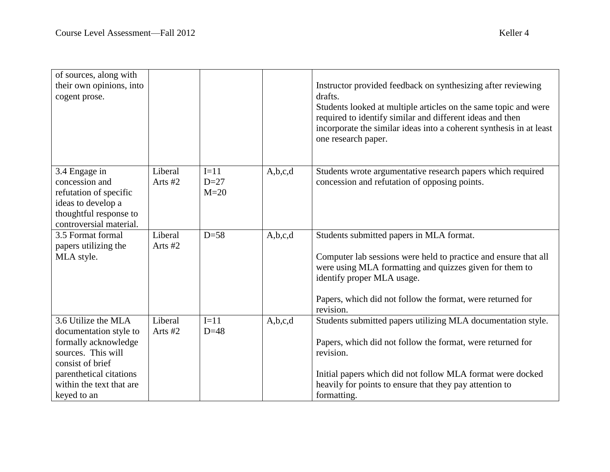| of sources, along with<br>their own opinions, into<br>cogent prose.                                                                                                                   |                      |                            |         | Instructor provided feedback on synthesizing after reviewing<br>drafts.<br>Students looked at multiple articles on the same topic and were<br>required to identify similar and different ideas and then<br>incorporate the similar ideas into a coherent synthesis in at least<br>one research paper. |
|---------------------------------------------------------------------------------------------------------------------------------------------------------------------------------------|----------------------|----------------------------|---------|-------------------------------------------------------------------------------------------------------------------------------------------------------------------------------------------------------------------------------------------------------------------------------------------------------|
| 3.4 Engage in<br>concession and<br>refutation of specific<br>ideas to develop a<br>thoughtful response to<br>controversial material.                                                  | Liberal<br>Arts $#2$ | $I=11$<br>$D=27$<br>$M=20$ | A,b,c,d | Students wrote argumentative research papers which required<br>concession and refutation of opposing points.                                                                                                                                                                                          |
| 3.5 Format formal<br>papers utilizing the<br>MLA style.                                                                                                                               | Liberal<br>Arts #2   | $D=58$                     | A,b,c,d | Students submitted papers in MLA format.<br>Computer lab sessions were held to practice and ensure that all<br>were using MLA formatting and quizzes given for them to<br>identify proper MLA usage.<br>Papers, which did not follow the format, were returned for<br>revision.                       |
| 3.6 Utilize the MLA<br>documentation style to<br>formally acknowledge<br>sources. This will<br>consist of brief<br>parenthetical citations<br>within the text that are<br>keyed to an | Liberal<br>Arts $#2$ | $I=11$<br>$D=48$           | A,b,c,d | Students submitted papers utilizing MLA documentation style.<br>Papers, which did not follow the format, were returned for<br>revision.<br>Initial papers which did not follow MLA format were docked<br>heavily for points to ensure that they pay attention to<br>formatting.                       |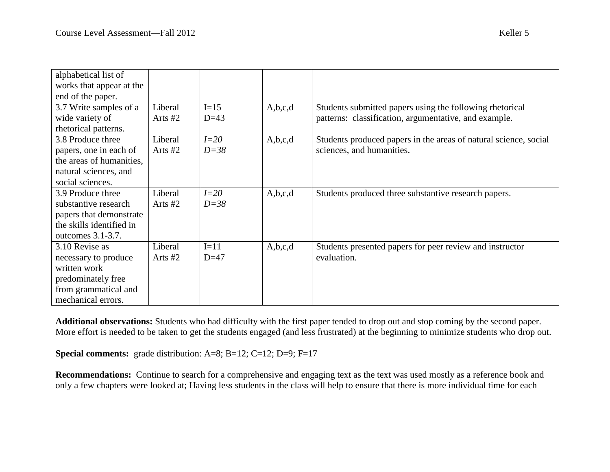| alphabetical list of     |           |          |         |                                                                  |
|--------------------------|-----------|----------|---------|------------------------------------------------------------------|
| works that appear at the |           |          |         |                                                                  |
| end of the paper.        |           |          |         |                                                                  |
| 3.7 Write samples of a   | Liberal   | $I=15$   | A,b,c,d | Students submitted papers using the following rhetorical         |
| wide variety of          | Arts $#2$ | $D=43$   |         | patterns: classification, argumentative, and example.            |
| rhetorical patterns.     |           |          |         |                                                                  |
| 3.8 Produce three        | Liberal   | $I=20$   | A,b,c,d | Students produced papers in the areas of natural science, social |
| papers, one in each of   | Arts $#2$ | $D = 38$ |         | sciences, and humanities.                                        |
| the areas of humanities. |           |          |         |                                                                  |
| natural sciences, and    |           |          |         |                                                                  |
| social sciences.         |           |          |         |                                                                  |
| 3.9 Produce three        | Liberal   | $I=20$   | A,b,c,d | Students produced three substantive research papers.             |
| substantive research     | Arts $#2$ | $D=38$   |         |                                                                  |
| papers that demonstrate  |           |          |         |                                                                  |
| the skills identified in |           |          |         |                                                                  |
| outcomes 3.1-3.7.        |           |          |         |                                                                  |
| 3.10 Revise as           | Liberal   | $I=11$   | A,b,c,d | Students presented papers for peer review and instructor         |
| necessary to produce     | Arts $#2$ | $D=47$   |         | evaluation.                                                      |
| written work             |           |          |         |                                                                  |
| predominately free       |           |          |         |                                                                  |
| from grammatical and     |           |          |         |                                                                  |
| mechanical errors.       |           |          |         |                                                                  |

**Additional observations:** Students who had difficulty with the first paper tended to drop out and stop coming by the second paper. More effort is needed to be taken to get the students engaged (and less frustrated) at the beginning to minimize students who drop out.

**Special comments:** grade distribution: A=8; B=12; C=12; D=9; F=17

**Recommendations:** Continue to search for a comprehensive and engaging text as the text was used mostly as a reference book and only a few chapters were looked at; Having less students in the class will help to ensure that there is more individual time for each